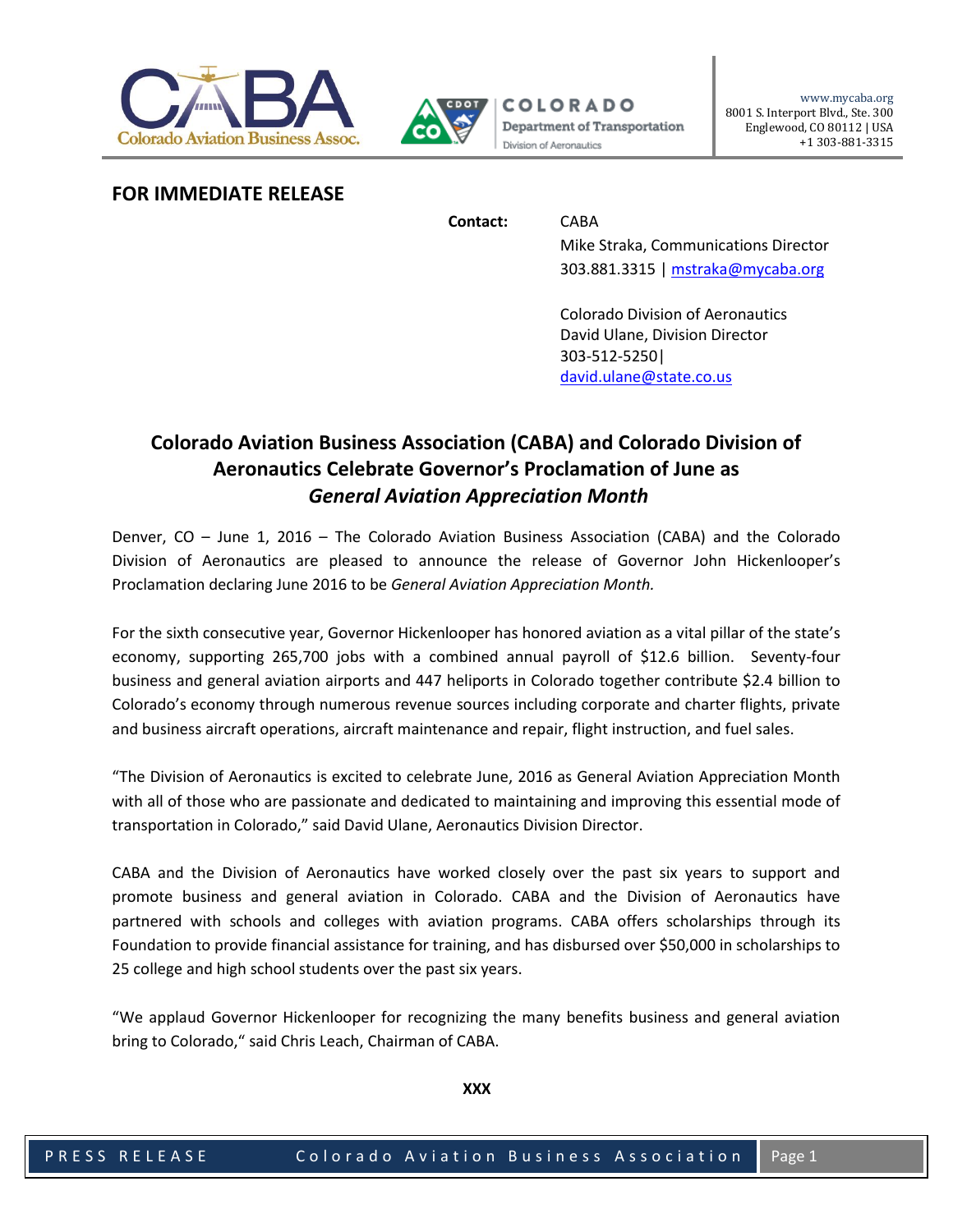



## **FOR IMMEDIATE RELEASE**

**Contact:** CABA

Mike Straka, Communications Director 303.881.3315 [| mstraka@mycaba.org](mailto:mstraka@mycaba.org)

Colorado Division of Aeronautics David Ulane, Division Director 303-512-5250| [david.ulane@state.co.us](mailto:david.ulane@state.co.us)

# **Colorado Aviation Business Association (CABA) and Colorado Division of Aeronautics Celebrate Governor's Proclamation of June as** *General Aviation Appreciation Month*

Denver, CO – June 1, 2016 – The Colorado Aviation Business Association (CABA) and the Colorado Division of Aeronautics are pleased to announce the release of Governor John Hickenlooper's Proclamation declaring June 2016 to be *General Aviation Appreciation Month.*

For the sixth consecutive year, Governor Hickenlooper has honored aviation as a vital pillar of the state's economy, supporting 265,700 jobs with a combined annual payroll of \$12.6 billion. Seventy-four business and general aviation airports and 447 heliports in Colorado together contribute \$2.4 billion to Colorado's economy through numerous revenue sources including corporate and charter flights, private and business aircraft operations, aircraft maintenance and repair, flight instruction, and fuel sales.

"The Division of Aeronautics is excited to celebrate June, 2016 as General Aviation Appreciation Month with all of those who are passionate and dedicated to maintaining and improving this essential mode of transportation in Colorado," said David Ulane, Aeronautics Division Director.

CABA and the Division of Aeronautics have worked closely over the past six years to support and promote business and general aviation in Colorado. CABA and the Division of Aeronautics have partnered with schools and colleges with aviation programs. CABA offers scholarships through its Foundation to provide financial assistance for training, and has disbursed over \$50,000 in scholarships to 25 college and high school students over the past six years.

"We applaud Governor Hickenlooper for recognizing the many benefits business and general aviation bring to Colorado," said Chris Leach, Chairman of CABA.

**XXX**